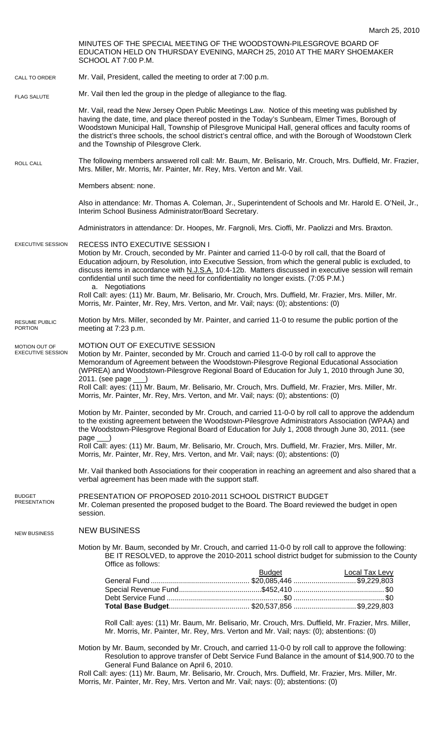|                                           | MINUTES OF THE SPECIAL MEETING OF THE WOODSTOWN-PILESGROVE BOARD OF<br>EDUCATION HELD ON THURSDAY EVENING, MARCH 25, 2010 AT THE MARY SHOEMAKER<br>SCHOOL AT 7:00 P.M.                                                                                                                                                                                                                                                                                                 |
|-------------------------------------------|------------------------------------------------------------------------------------------------------------------------------------------------------------------------------------------------------------------------------------------------------------------------------------------------------------------------------------------------------------------------------------------------------------------------------------------------------------------------|
| CALL TO ORDER                             | Mr. Vail, President, called the meeting to order at 7:00 p.m.                                                                                                                                                                                                                                                                                                                                                                                                          |
| <b>FLAG SALUTE</b>                        | Mr. Vail then led the group in the pledge of allegiance to the flag.                                                                                                                                                                                                                                                                                                                                                                                                   |
|                                           | Mr. Vail, read the New Jersey Open Public Meetings Law. Notice of this meeting was published by<br>having the date, time, and place thereof posted in the Today's Sunbeam, Elmer Times, Borough of<br>Woodstown Municipal Hall, Township of Pilesgrove Municipal Hall, general offices and faculty rooms of<br>the district's three schools, the school district's central office, and with the Borough of Woodstown Clerk<br>and the Township of Pilesgrove Clerk.    |
| ROLL CALL                                 | The following members answered roll call: Mr. Baum, Mr. Belisario, Mr. Crouch, Mrs. Duffield, Mr. Frazier,<br>Mrs. Miller, Mr. Morris, Mr. Painter, Mr. Rey, Mrs. Verton and Mr. Vail.                                                                                                                                                                                                                                                                                 |
|                                           | Members absent: none.                                                                                                                                                                                                                                                                                                                                                                                                                                                  |
|                                           | Also in attendance: Mr. Thomas A. Coleman, Jr., Superintendent of Schools and Mr. Harold E. O'Neil, Jr.,<br>Interim School Business Administrator/Board Secretary.                                                                                                                                                                                                                                                                                                     |
|                                           | Administrators in attendance: Dr. Hoopes, Mr. Fargnoli, Mrs. Cioffi, Mr. Paolizzi and Mrs. Braxton.                                                                                                                                                                                                                                                                                                                                                                    |
| <b>EXECUTIVE SESSION</b>                  | RECESS INTO EXECUTIVE SESSION I<br>Motion by Mr. Crouch, seconded by Mr. Painter and carried 11-0-0 by roll call, that the Board of<br>Education adjourn, by Resolution, into Executive Session, from which the general public is excluded, to<br>discuss items in accordance with N.J.S.A. 10:4-12b. Matters discussed in executive session will remain<br>confidential until such time the need for confidentiality no longer exists. (7:05 P.M.)<br>a. Negotiations |
|                                           | Roll Call: ayes: (11) Mr. Baum, Mr. Belisario, Mr. Crouch, Mrs. Duffield, Mr. Frazier, Mrs. Miller, Mr.<br>Morris, Mr. Painter, Mr. Rey, Mrs. Verton, and Mr. Vail; nays: (0); abstentions: (0)                                                                                                                                                                                                                                                                        |
| <b>RESUME PUBLIC</b><br><b>PORTION</b>    | Motion by Mrs. Miller, seconded by Mr. Painter, and carried 11-0 to resume the public portion of the<br>meeting at 7:23 p.m.                                                                                                                                                                                                                                                                                                                                           |
| MOTION OUT OF<br><b>EXECUTIVE SESSION</b> | MOTION OUT OF EXECUTIVE SESSION<br>Motion by Mr. Painter, seconded by Mr. Crouch and carried 11-0-0 by roll call to approve the<br>Memorandum of Agreement between the Woodstown-Pilesgrove Regional Educational Association<br>(WPREA) and Woodstown-Pilesgrove Regional Board of Education for July 1, 2010 through June 30,<br>$2011.$ (see page $\_\_)$                                                                                                            |
|                                           | Roll Call: ayes: (11) Mr. Baum, Mr. Belisario, Mr. Crouch, Mrs. Duffield, Mr. Frazier, Mrs. Miller, Mr.<br>Morris, Mr. Painter, Mr. Rey, Mrs. Verton, and Mr. Vail; nays: (0); abstentions: (0)                                                                                                                                                                                                                                                                        |
|                                           | Motion by Mr. Painter, seconded by Mr. Crouch, and carried 11-0-0 by roll call to approve the addendum<br>to the existing agreement between the Woodstown-Pilesgrove Administrators Association (WPAA) and<br>the Woodstown-Pilesgrove Regional Board of Education for July 1, 2008 through June 30, 2011. (see<br>$page$ <sub>__</sub> )                                                                                                                              |
|                                           | Roll Call: ayes: (11) Mr. Baum, Mr. Belisario, Mr. Crouch, Mrs. Duffield, Mr. Frazier, Mrs. Miller, Mr.<br>Morris, Mr. Painter, Mr. Rey, Mrs. Verton, and Mr. Vail; nays: (0); abstentions: (0)                                                                                                                                                                                                                                                                        |
|                                           | Mr. Vail thanked both Associations for their cooperation in reaching an agreement and also shared that a<br>verbal agreement has been made with the support staff.                                                                                                                                                                                                                                                                                                     |
| <b>BUDGET</b><br><b>PRESENTATION</b>      | PRESENTATION OF PROPOSED 2010-2011 SCHOOL DISTRICT BUDGET<br>Mr. Coleman presented the proposed budget to the Board. The Board reviewed the budget in open<br>session.                                                                                                                                                                                                                                                                                                 |
| <b>NEW BUSINESS</b>                       | <b>NEW BUSINESS</b>                                                                                                                                                                                                                                                                                                                                                                                                                                                    |
|                                           | Motion by Mr. Baum, seconded by Mr. Crouch, and carried 11-0-0 by roll call to approve the following:<br>BE IT RESOLVED, to approve the 2010-2011 school district budget for submission to the County<br>Office as follows:                                                                                                                                                                                                                                            |
|                                           | <b>Budget</b><br><b>Local Tax Levy</b>                                                                                                                                                                                                                                                                                                                                                                                                                                 |
|                                           | Roll Call: ayes: (11) Mr. Baum, Mr. Belisario, Mr. Crouch, Mrs. Duffield, Mr. Frazier, Mrs. Miller,<br>Mr. Morris, Mr. Painter, Mr. Rey, Mrs. Verton and Mr. Vail; nays: (0); abstentions: (0)                                                                                                                                                                                                                                                                         |
|                                           | Motion by Mr. Baum, seconded by Mr. Crouch, and carried 11-0-0 by roll call to approve the following:<br>Resolution to approve transfer of Debt Service Fund Balance in the amount of \$14,900.70 to the<br>General Fund Balance on April 6, 2010.                                                                                                                                                                                                                     |

Roll Call: ayes: (11) Mr. Baum, Mr. Belisario, Mr. Crouch, Mrs. Duffield, Mr. Frazier, Mrs. Miller, Mr. Morris, Mr. Painter, Mr. Rey, Mrs. Verton and Mr. Vail; nays: (0); abstentions: (0)